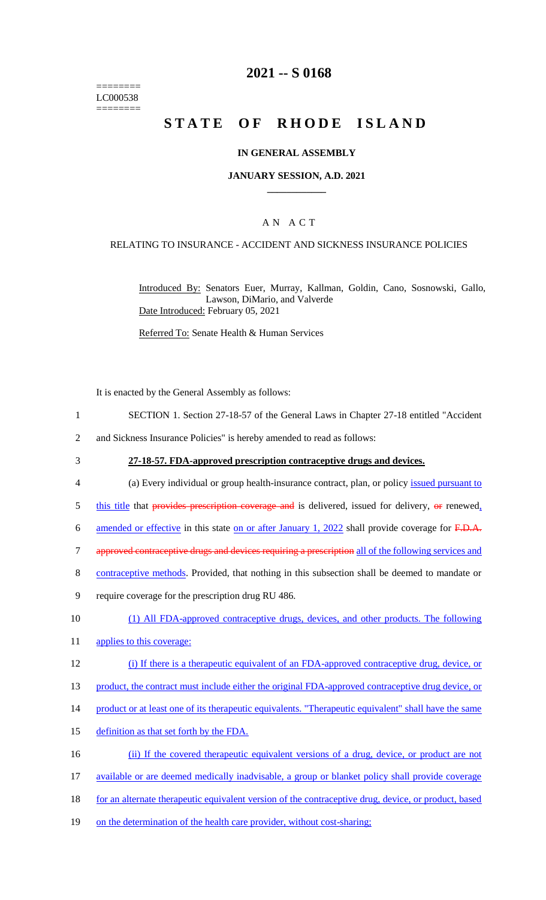======== LC000538 ========

# **2021 -- S 0168**

# **STATE OF RHODE ISLAND**

### **IN GENERAL ASSEMBLY**

### **JANUARY SESSION, A.D. 2021 \_\_\_\_\_\_\_\_\_\_\_\_**

### A N A C T

### RELATING TO INSURANCE - ACCIDENT AND SICKNESS INSURANCE POLICIES

Introduced By: Senators Euer, Murray, Kallman, Goldin, Cano, Sosnowski, Gallo, Lawson, DiMario, and Valverde Date Introduced: February 05, 2021

Referred To: Senate Health & Human Services

It is enacted by the General Assembly as follows:

- 1 SECTION 1. Section 27-18-57 of the General Laws in Chapter 27-18 entitled "Accident
- 2 and Sickness Insurance Policies" is hereby amended to read as follows:
- 

#### 3 **27-18-57. FDA-approved prescription contraceptive drugs and devices.**

- 4 (a) Every individual or group health-insurance contract, plan, or policy issued pursuant to
- $5$  this title that provides prescription coverage and is delivered, issued for delivery,  $\Theta$  renewed,
- 6 amended or effective in this state on or after January 1, 2022 shall provide coverage for F.D.A.
- 7 approved contraceptive drugs and devices requiring a prescription all of the following services and
- 8 contraceptive methods. Provided, that nothing in this subsection shall be deemed to mandate or
- 9 require coverage for the prescription drug RU 486.
- 10 (1) All FDA-approved contraceptive drugs, devices, and other products. The following
- 11 applies to this coverage:
- 12 (i) If there is a therapeutic equivalent of an FDA-approved contraceptive drug, device, or
- 13 product, the contract must include either the original FDA-approved contraceptive drug device, or
- 14 product or at least one of its therapeutic equivalents. "Therapeutic equivalent" shall have the same
- 15 definition as that set forth by the FDA.
- 16 (ii) If the covered therapeutic equivalent versions of a drug, device, or product are not
- 17 available or are deemed medically inadvisable, a group or blanket policy shall provide coverage
- 18 for an alternate therapeutic equivalent version of the contraceptive drug, device, or product, based
- 19 on the determination of the health care provider, without cost-sharing;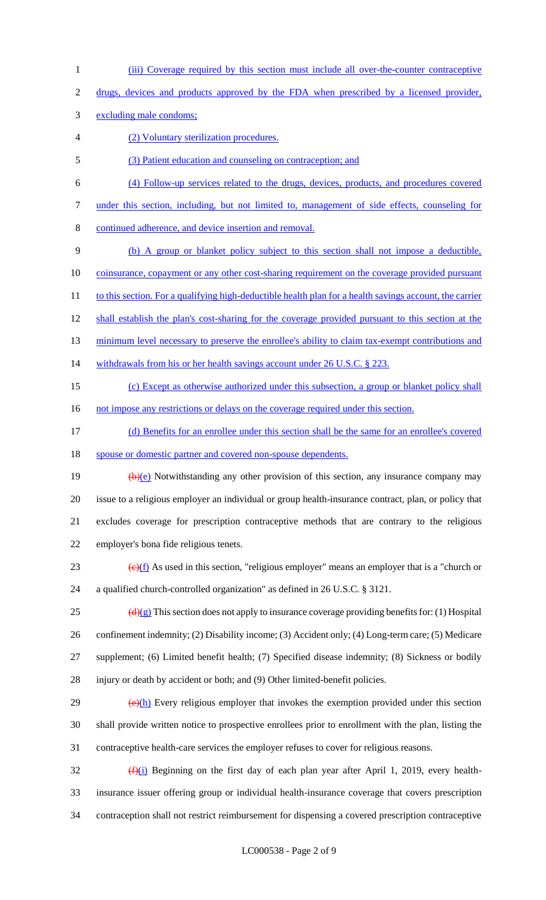- (iii) Coverage required by this section must include all over-the-counter contraceptive
- drugs, devices and products approved by the FDA when prescribed by a licensed provider,
- excluding male condoms;
- (2) Voluntary sterilization procedures.
- (3) Patient education and counseling on contraception; and
- (4) Follow-up services related to the drugs, devices, products, and procedures covered
- under this section, including, but not limited to, management of side effects, counseling for
- continued adherence, and device insertion and removal.
- (b) A group or blanket policy subject to this section shall not impose a deductible,
- 10 coinsurance, copayment or any other cost-sharing requirement on the coverage provided pursuant
- 11 to this section. For a qualifying high-deductible health plan for a health savings account, the carrier
- 12 shall establish the plan's cost-sharing for the coverage provided pursuant to this section at the
- 13 minimum level necessary to preserve the enrollee's ability to claim tax-exempt contributions and
- 14 withdrawals from his or her health savings account under 26 U.S.C. § 223.
- (c) Except as otherwise authorized under this subsection, a group or blanket policy shall
- 16 not impose any restrictions or delays on the coverage required under this section.
- (d) Benefits for an enrollee under this section shall be the same for an enrollee's covered spouse or domestic partner and covered non-spouse dependents.
- 19  $(b)(e)$  Notwithstanding any other provision of this section, any insurance company may issue to a religious employer an individual or group health-insurance contract, plan, or policy that excludes coverage for prescription contraceptive methods that are contrary to the religious employer's bona fide religious tenets.
- 23  $\left(\frac{e}{f}\right)$  As used in this section, "religious employer" means an employer that is a "church or a qualified church-controlled organization" as defined in 26 U.S.C. § 3121.
- 25  $\left(\frac{d(x)}{g}\right)$  This section does not apply to insurance coverage providing benefits for: (1) Hospital confinement indemnity; (2) Disability income; (3) Accident only; (4) Long-term care; (5) Medicare supplement; (6) Limited benefit health; (7) Specified disease indemnity; (8) Sickness or bodily injury or death by accident or both; and (9) Other limited-benefit policies.
- $\left(\frac{\Theta(\mathbf{h})}{\Theta(\mathbf{h})}\right)$  Every religious employer that invokes the exemption provided under this section shall provide written notice to prospective enrollees prior to enrollment with the plan, listing the contraceptive health-care services the employer refuses to cover for religious reasons.
- (f)(i) Beginning on the first day of each plan year after April 1, 2019, every health- insurance issuer offering group or individual health-insurance coverage that covers prescription contraception shall not restrict reimbursement for dispensing a covered prescription contraceptive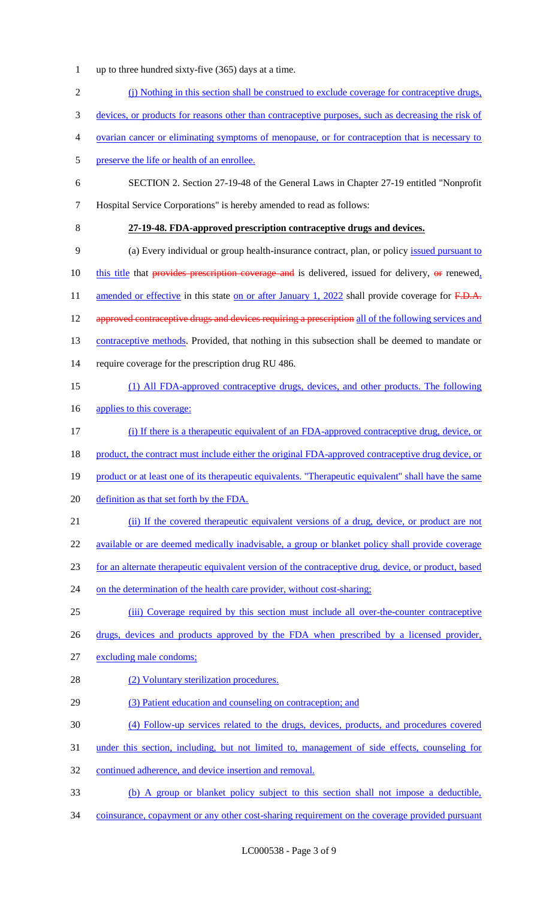- 1 up to three hundred sixty-five (365) days at a time.
- 2 (j) Nothing in this section shall be construed to exclude coverage for contraceptive drugs,
- 3 devices, or products for reasons other than contraceptive purposes, such as decreasing the risk of
- 4 ovarian cancer or eliminating symptoms of menopause, or for contraception that is necessary to
- 5 preserve the life or health of an enrollee.
- 6 SECTION 2. Section 27-19-48 of the General Laws in Chapter 27-19 entitled "Nonprofit 7 Hospital Service Corporations" is hereby amended to read as follows:
- 

# 8 **27-19-48. FDA-approved prescription contraceptive drugs and devices.**

- 9 (a) Every individual or group health-insurance contract, plan, or policy issued pursuant to 10 this title that provides prescription coverage and is delivered, issued for delivery, or renewed, 11 amended or effective in this state on or after January 1, 2022 shall provide coverage for F.D.A. 12 approved contraceptive drugs and devices requiring a prescription all of the following services and 13 contraceptive methods. Provided, that nothing in this subsection shall be deemed to mandate or 14 require coverage for the prescription drug RU 486.
- 15 (1) All FDA-approved contraceptive drugs, devices, and other products. The following
- 16 applies to this coverage:
- 17 (i) If there is a therapeutic equivalent of an FDA-approved contraceptive drug, device, or
- 18 product, the contract must include either the original FDA-approved contraceptive drug device, or
- 19 product or at least one of its therapeutic equivalents. "Therapeutic equivalent" shall have the same
- 20 definition as that set forth by the FDA.
- 21 (ii) If the covered therapeutic equivalent versions of a drug, device, or product are not
- 22 available or are deemed medically inadvisable, a group or blanket policy shall provide coverage
- 23 for an alternate therapeutic equivalent version of the contraceptive drug, device, or product, based
- 24 on the determination of the health care provider, without cost-sharing;
- 25 (iii) Coverage required by this section must include all over-the-counter contraceptive
- 26 drugs, devices and products approved by the FDA when prescribed by a licensed provider,
- 27 excluding male condoms;
- 28 (2) Voluntary sterilization procedures.
- 29 (3) Patient education and counseling on contraception; and
- 30 (4) Follow-up services related to the drugs, devices, products, and procedures covered
- 31 under this section, including, but not limited to, management of side effects, counseling for
- 32 continued adherence, and device insertion and removal.
- 33 (b) A group or blanket policy subject to this section shall not impose a deductible,
- 34 coinsurance, copayment or any other cost-sharing requirement on the coverage provided pursuant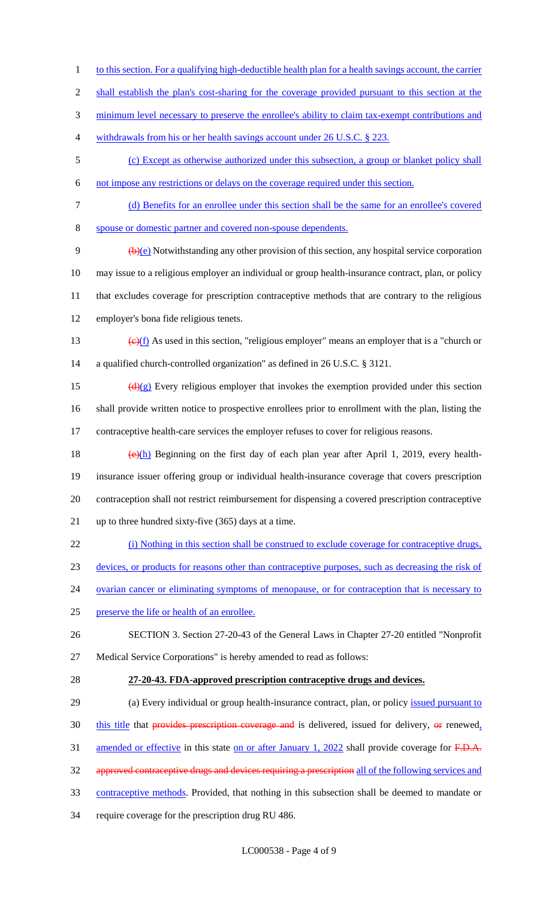- 1 to this section. For a qualifying high-deductible health plan for a health savings account, the carrier
- 2 shall establish the plan's cost-sharing for the coverage provided pursuant to this section at the
- minimum level necessary to preserve the enrollee's ability to claim tax-exempt contributions and
- 4 withdrawals from his or her health savings account under 26 U.S.C. § 223.
- (c) Except as otherwise authorized under this subsection, a group or blanket policy shall
- not impose any restrictions or delays on the coverage required under this section.
- (d) Benefits for an enrollee under this section shall be the same for an enrollee's covered
- spouse or domestic partner and covered non-spouse dependents.

 $\theta$  (b)(e) Notwithstanding any other provision of this section, any hospital service corporation may issue to a religious employer an individual or group health-insurance contract, plan, or policy that excludes coverage for prescription contraceptive methods that are contrary to the religious employer's bona fide religious tenets.

13 (e) $(f)$  As used in this section, "religious employer" means an employer that is a "church or a qualified church-controlled organization" as defined in 26 U.S.C. § 3121.

15  $\left(\frac{d}{g}\right)$  Every religious employer that invokes the exemption provided under this section shall provide written notice to prospective enrollees prior to enrollment with the plan, listing the contraceptive health-care services the employer refuses to cover for religious reasons.

- 18 (e) $(h)$  Beginning on the first day of each plan year after April 1, 2019, every health- insurance issuer offering group or individual health-insurance coverage that covers prescription contraception shall not restrict reimbursement for dispensing a covered prescription contraceptive up to three hundred sixty-five (365) days at a time.
- (i) Nothing in this section shall be construed to exclude coverage for contraceptive drugs,
- devices, or products for reasons other than contraceptive purposes, such as decreasing the risk of
- 24 ovarian cancer or eliminating symptoms of menopause, or for contraception that is necessary to
- preserve the life or health of an enrollee.
- SECTION 3. Section 27-20-43 of the General Laws in Chapter 27-20 entitled "Nonprofit Medical Service Corporations" is hereby amended to read as follows:
- 

#### **27-20-43. FDA-approved prescription contraceptive drugs and devices.**

29 (a) Every individual or group health-insurance contract, plan, or policy issued pursuant to this title that provides prescription coverage and is delivered, issued for delivery,  $\Theta$  renewed, 31 amended or effective in this state on or after January 1, 2022 shall provide coverage for F.D.A. 32 approved contraceptive drugs and devices requiring a prescription all of the following services and 33 contraceptive methods. Provided, that nothing in this subsection shall be deemed to mandate or require coverage for the prescription drug RU 486.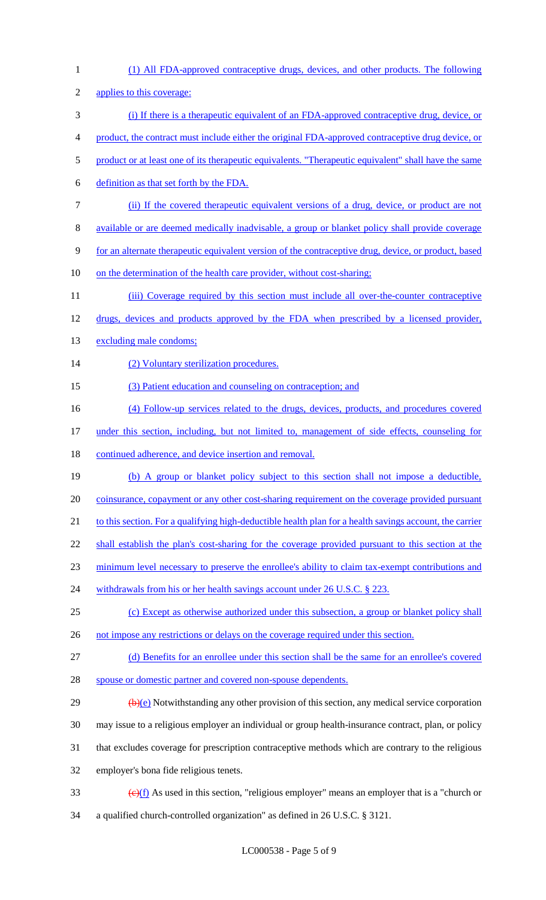| $\mathbf{1}$   | (1) All FDA-approved contraceptive drugs, devices, and other products. The following                            |
|----------------|-----------------------------------------------------------------------------------------------------------------|
| $\mathfrak{2}$ | applies to this coverage:                                                                                       |
| 3              | (i) If there is a therapeutic equivalent of an FDA-approved contraceptive drug, device, or                      |
| 4              | product, the contract must include either the original FDA-approved contraceptive drug device, or               |
| 5              | product or at least one of its therapeutic equivalents. "Therapeutic equivalent" shall have the same            |
| 6              | definition as that set forth by the FDA.                                                                        |
| $\tau$         | (ii) If the covered therapeutic equivalent versions of a drug, device, or product are not                       |
| 8              | available or are deemed medically inadvisable, a group or blanket policy shall provide coverage                 |
| 9              | for an alternate therapeutic equivalent version of the contraceptive drug, device, or product, based            |
| 10             | on the determination of the health care provider, without cost-sharing;                                         |
| 11             | (iii) Coverage required by this section must include all over-the-counter contraceptive                         |
| 12             | drugs, devices and products approved by the FDA when prescribed by a licensed provider,                         |
| 13             | excluding male condoms;                                                                                         |
| 14             | (2) Voluntary sterilization procedures.                                                                         |
| 15             | (3) Patient education and counseling on contraception; and                                                      |
| 16             | (4) Follow-up services related to the drugs, devices, products, and procedures covered                          |
| 17             | under this section, including, but not limited to, management of side effects, counseling for                   |
| 18             | continued adherence, and device insertion and removal.                                                          |
| 19             | (b) A group or blanket policy subject to this section shall not impose a deductible,                            |
| 20             | coinsurance, copayment or any other cost-sharing requirement on the coverage provided pursuant                  |
| 21             | to this section. For a qualifying high-deductible health plan for a health savings account, the carrier         |
| 22             | shall establish the plan's cost-sharing for the coverage provided pursuant to this section at the               |
| 23             | minimum level necessary to preserve the enrollee's ability to claim tax-exempt contributions and                |
| 24             | withdrawals from his or her health savings account under 26 U.S.C. § 223.                                       |
| 25             | (c) Except as otherwise authorized under this subsection, a group or blanket policy shall                       |
| 26             | not impose any restrictions or delays on the coverage required under this section.                              |
| 27             | (d) Benefits for an enrollee under this section shall be the same for an enrollee's covered                     |
| 28             | spouse or domestic partner and covered non-spouse dependents.                                                   |
| 29             | $\left(\frac{b}{c}\right)$ Notwithstanding any other provision of this section, any medical service corporation |
| 30             | may issue to a religious employer an individual or group health-insurance contract, plan, or policy             |
| 31             | that excludes coverage for prescription contraceptive methods which are contrary to the religious               |
| 32             | employer's bona fide religious tenets.                                                                          |
| 33             | $\overline{(e)(f)}$ As used in this section, "religious employer" means an employer that is a "church or        |
| 34             | a qualified church-controlled organization" as defined in 26 U.S.C. § 3121.                                     |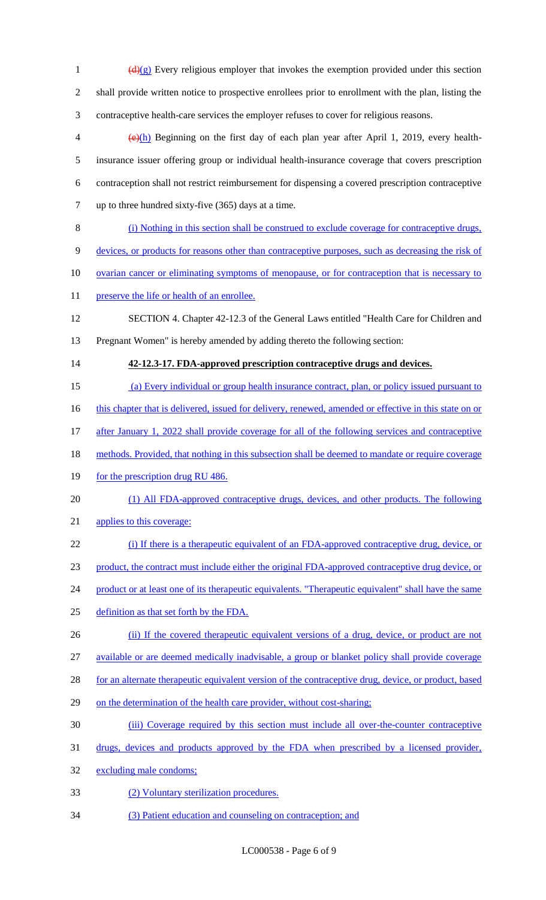$\frac{d(x)}{dx}$  Every religious employer that invokes the exemption provided under this section shall provide written notice to prospective enrollees prior to enrollment with the plan, listing the contraceptive health-care services the employer refuses to cover for religious reasons.  $\left\langle \Theta(h) \right\rangle$  Beginning on the first day of each plan year after April 1, 2019, every health- insurance issuer offering group or individual health-insurance coverage that covers prescription contraception shall not restrict reimbursement for dispensing a covered prescription contraceptive up to three hundred sixty-five (365) days at a time. (i) Nothing in this section shall be construed to exclude coverage for contraceptive drugs, devices, or products for reasons other than contraceptive purposes, such as decreasing the risk of 10 ovarian cancer or eliminating symptoms of menopause, or for contraception that is necessary to 11 preserve the life or health of an enrollee. SECTION 4. Chapter 42-12.3 of the General Laws entitled "Health Care for Children and Pregnant Women" is hereby amended by adding thereto the following section: **42-12.3-17. FDA-approved prescription contraceptive drugs and devices.**  (a) Every individual or group health insurance contract, plan, or policy issued pursuant to 16 this chapter that is delivered, issued for delivery, renewed, amended or effective in this state on or 17 after January 1, 2022 shall provide coverage for all of the following services and contraceptive 18 methods. Provided, that nothing in this subsection shall be deemed to mandate or require coverage 19 for the prescription drug RU 486. (1) All FDA-approved contraceptive drugs, devices, and other products. The following applies to this coverage: 22 (i) If there is a therapeutic equivalent of an FDA-approved contraceptive drug, device, or product, the contract must include either the original FDA-approved contraceptive drug device, or 24 product or at least one of its therapeutic equivalents. "Therapeutic equivalent" shall have the same definition as that set forth by the FDA. 26 (ii) If the covered therapeutic equivalent versions of a drug, device, or product are not available or are deemed medically inadvisable, a group or blanket policy shall provide coverage 28 for an alternate therapeutic equivalent version of the contraceptive drug, device, or product, based 29 on the determination of the health care provider, without cost-sharing; (iii) Coverage required by this section must include all over-the-counter contraceptive drugs, devices and products approved by the FDA when prescribed by a licensed provider, excluding male condoms; (2) Voluntary sterilization procedures. (3) Patient education and counseling on contraception; and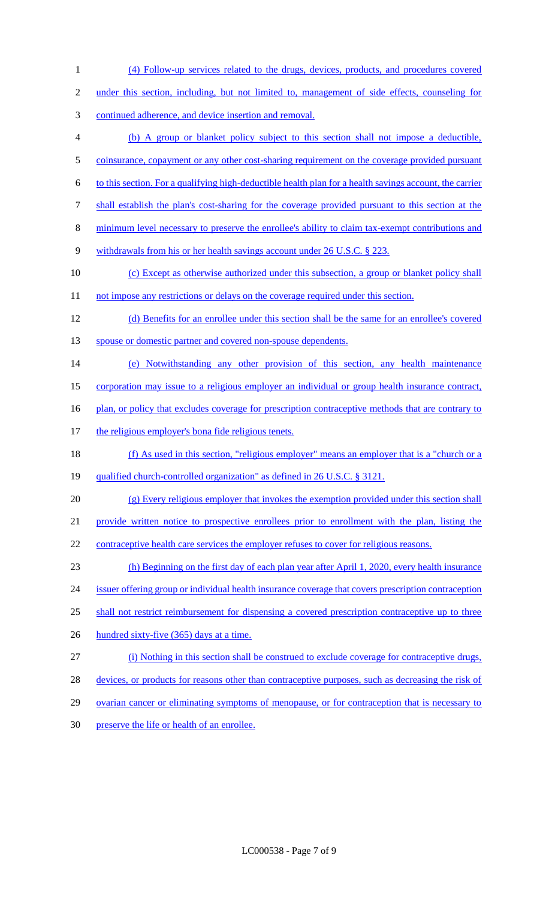under this section, including, but not limited to, management of side effects, counseling for continued adherence, and device insertion and removal. (b) A group or blanket policy subject to this section shall not impose a deductible, 5 coinsurance, copayment or any other cost-sharing requirement on the coverage provided pursuant to this section. For a qualifying high-deductible health plan for a health savings account, the carrier shall establish the plan's cost-sharing for the coverage provided pursuant to this section at the minimum level necessary to preserve the enrollee's ability to claim tax-exempt contributions and withdrawals from his or her health savings account under 26 U.S.C. § 223. 10 (c) Except as otherwise authorized under this subsection, a group or blanket policy shall 11 not impose any restrictions or delays on the coverage required under this section. (d) Benefits for an enrollee under this section shall be the same for an enrollee's covered 13 spouse or domestic partner and covered non-spouse dependents. (e) Notwithstanding any other provision of this section, any health maintenance corporation may issue to a religious employer an individual or group health insurance contract, 16 plan, or policy that excludes coverage for prescription contraceptive methods that are contrary to 17 the religious employer's bona fide religious tenets. 18 (f) As used in this section, "religious employer" means an employer that is a "church or a qualified church-controlled organization" as defined in 26 U.S.C. § 3121. (g) Every religious employer that invokes the exemption provided under this section shall provide written notice to prospective enrollees prior to enrollment with the plan, listing the 22 contraceptive health care services the employer refuses to cover for religious reasons. (h) Beginning on the first day of each plan year after April 1, 2020, every health insurance issuer offering group or individual health insurance coverage that covers prescription contraception shall not restrict reimbursement for dispensing a covered prescription contraceptive up to three 26 hundred sixty-five (365) days at a time. (i) Nothing in this section shall be construed to exclude coverage for contraceptive drugs, 28 devices, or products for reasons other than contraceptive purposes, such as decreasing the risk of 29 ovarian cancer or eliminating symptoms of menopause, or for contraception that is necessary to preserve the life or health of an enrollee.

(4) Follow-up services related to the drugs, devices, products, and procedures covered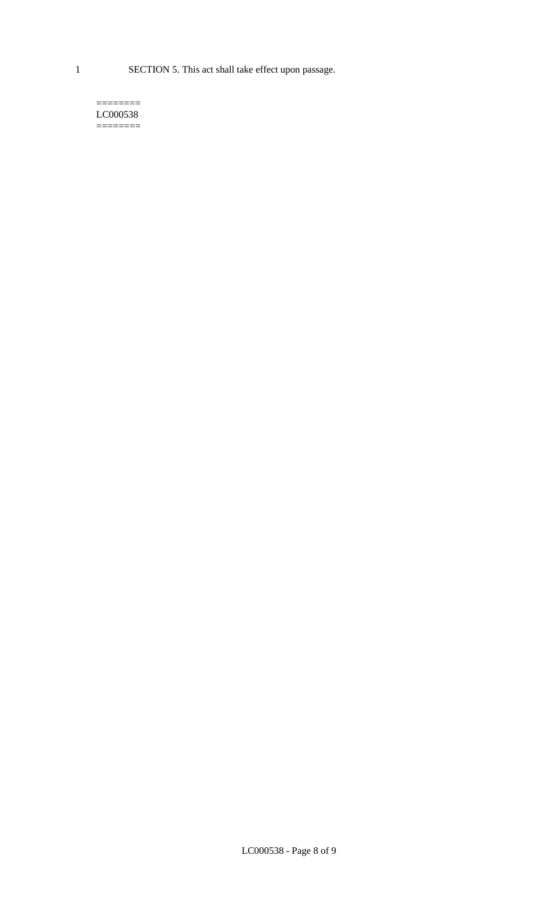1 SECTION 5. This act shall take effect upon passage.

#### $=$ LC000538 ========